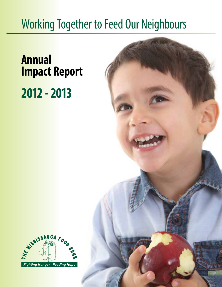# Working Together to Feed Our Neighbours

# **Annual Impact Report 2012 - 2013**



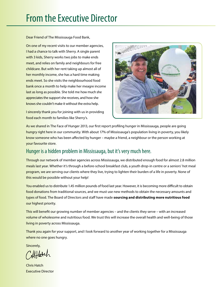## From the Executive Director

Dear Friend of The Mississauga Food Bank,

On one of my recent visits to our member agencies, I had a chance to talk with Sherry. A single parent with 3 kids, Sherry works two jobs to make ends meet, and relies on family and neighbours for free childcare. But with her rent taking up almost all of her monthly income, she has a hard time making ends meet. So she visits the neighbourhood food bank once a month to help make her meagre income last as long as possible. She told me how much she appreciates the support she receives, and how she knows she couldn't make it without the extra help.

I sincerely thank you for joining with us in providing food each month to families like Sherry's.



As we shared in The Face of Hunger 2013, our first report profiling hunger in Mississauga, people are going hungry right here in our community. With about 17% of Mississauga's population living in poverty, you likely know someone who has been affected by hunger – maybe a friend, a neighbour or the person working at your favourite store.

### Hunger is a hidden problem in Mississauga, but it's very much here.

Through our network of member agencies across Mississauga, we distributed enough food for almost 2.8 million meals last year. Whether it's through a before-school breakfast club, a youth drop-in centre or a seniors' hot meal program, we are serving our clients where they live, trying to lighten their burden of a life in poverty. None of this would be possible without your help!

You enabled us to distribute 1.45 million pounds of food last year. However, it is becoming more difficult to obtain food donations from traditional sources, and we must use new methods to obtain the necessary amounts and types of food. The Board of Directors and staff have made **sourcing and distributing more nutritious food** our highest priority.

This will benefit our growing number of member agencies – and the clients they serve – with an increased volume of wholesome and nutritious food. We trust this will increase the overall health and well-being of those living in poverty across Mississauga.

Thank you again for your support, and I look forward to another year of working together for a Mississauga where no one goes hungry.

Sincerely,

Alflatch

Chris Hatch Executive Director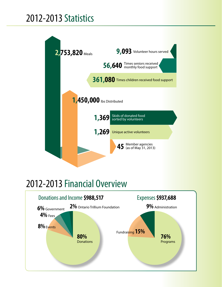# 2012-2013 Statistics



# 2012-2013 Financial Overview

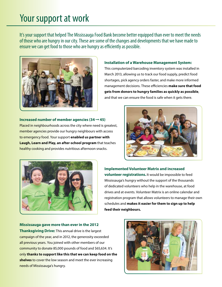## Your support at work

It's your support that helped The Mississauga Food Bank become better equipped than ever to meet the needs of those who are hungry in our city. These are some of the changes and developments that we have made to ensure we can get food to those who are hungry as efficiently as possible.



#### **Installation of a Warehouse Management System:**

This computerized barcoding inventory system was installed in March 2013, allowing us to track our food supply, predict food shortages, pick agency orders faster, and make more informed management decisions. These efficiencies **make sure that food gets from donors to hungry families as quickly as possible**, and that we can ensure the food is safe when it gets there.

**Increased number of member agencies (34** ➞ **45)** Placed in neighbourhoods across the city where need is greatest, member agencies provide our hungry neighbours with access to emergency food. Your support **enabled us partner with Laugh, Learn and Play, an after-school program** that teaches healthy cooking and provides nutritious afternoon snacks.





**Implemented Volunteer Matrix and increased volunteer registrations.** It would be impossible to feed Mississauga's hungry without the support of the thousands of dedicated volunteers who help in the warehouse, at food drives and at events. Volunteer Matrix is an online calendar and registration program that allows volunteers to manage their own schedules and **makes it easier for them to sign up to help feed their neighbours.**

**Mississauga gave more than ever in the 2012 Thanksgiving Drive:** This annual drive is the largest campaign of the year, and in 2012, the generosity exceeded all previous years. You joined with other members of our community to donate 85,000 pounds of food and \$65,634. It's only **thanks to support like this that we can keep food on the shelves** to cover the low season and meet the ever increasing needs of Mississauga's hungry.

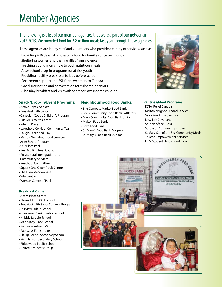# Member Agencies

### The following is a list of our member agencies that were a part of our network in 2012-2013. We provided food for 2.8 million meals last year through these agencies.

These agencies are led by staff and volunteers who provide a variety of services, such as:

- Providing 7-10 days' of wholesome food for families once per month
- Sheltering women and their families from violence
- Teaching young moms how to cook nutritious meals
- After-school drop-in programs for at-risk youth
- Providing healthy breakfasts to kids before school
- Settlement support and ESL for newcomers to Canada
- Social interaction and conversation for vulnerable seniors
- A holiday breakfast and visit with Santa for low-income children

#### **Snack/Drop-In/Event Programs:**

- Active Coptic Seniors
- Breakfast with Santa
- Canadian Coptic Children's Program
- Erin Mills Youth Centre
- Interim Place
- Lakeshore Corridor Community Team
- Laugh, Learn and Play
- Malton Neighbourhood Services After School Program
- Our Place Peel
- Peel Multicultural Council
- Polycultural Immigration and Community Services
- Reachout Committee
- Square One Older Adult Centre
- The Dam Meadowvale
- Vita Centre
- Women Centre of Peel

#### **Breakfast Clubs:**

- Acorn Place Centre
- Blessed John XXIII School
- Breakfast with Santa Summer Program
- Fairview Public School
- Glenhaven Senior Public School
- Hillside Middle School
- Mahogany Place School
- Pathways Arbour Mills
- Pathways Forestridge
- Phillip Pocock Secondary School
- Rick Hanson Secondary School
- Ridgewood Public School
- United Achievers Group

#### **Neighbourhood Food Banks:**

- The Compass Market Food Bank
- Eden Community Food Bank Battleford
- Eden Community Food Bank Unity
- Malton Food Bank
- Seva Food Bank
- St. Mary's Food Bank Coopers
- St. Mary's Food Bank Dundas

#### **Pantries/Meal Programs:**

- ICNA Relief Canada
- Malton Neighbourhood Services
- Salvation Army Cawthra
- New Life Covenant
- St John of the Cross
- St Joseph Community Kitchen
- St Mary Star of the Sea Community Meals
- Touché Empowerment Services
- UTM Student Union Food Bank

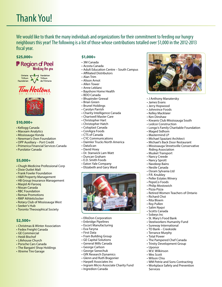We would like to thank the many individuals and organizations for their commitment to feeding our hungry neighbours this year! The following is a list of those whose contributions totalled over \$1,000 in the 2012-2013 fiscal year.

#### **\$25,000+**

### **F** Region of Peel Wonking fon you



### Tim Hortons.



#### **\$10,000+**

- Kellogg Canada
- Maxxam Analytics
- Mississauga Honda
- Newman's Own Foundation
- OPP Auxiliary Port Credit
- Primerica Financial Services Canada
- Purolator Canada

#### **\$5,000+**

- Chugh Medicine Professional Corp
- Dixie Outlet Mall
- Frank Fowler Foundation
- H&R Property Management
- HB Group Insurance Management
- Masjid Al-Farooq
- Nissan Canada
- RBC Foundation
- Remax Promotions
- RMP Athleticlocker
- Rotary Club of Mississauga West
- Seeker's Hub
- Toronto Theosophical Society

#### **\$2,500+**

- Christmas & Winter Association
- Fedex Freight Canada
- GE Commercial
- Heidi Bischof
- Lifehouse Church
- Porsche Cars Canada
- The Bargain! Shop Holdings
- Xtreme Tire Garage

#### **\$1,000+**

- 3M Canada
- Acosta Canada
- Adult Education Centre South Campus
- Affiliated Distributors
- Alan Trim
- Alison Arnot
- Allen Tower
- Anne Leblanc
- Bayshore Home Health • BDO Canada
- Bhupinder Grewal
- Brian Green
- Brunel Holdings
- Carolyn Parrish
- Charity Intelligence Canada
- Chartwell Master Care
- Christopher Hart
- Christopher Hatch
- Coloplast Canada
- ConAgra Foods
- CTS of Canada
- CYC Communications
- Daimler Trucks North America
- DataScan
- David Hoey
- Dr. Stanwick Lam Watt
- Duncan Graham
- E.D. Smith Foods
- Eaton Yale Company
- Elizabeth and Gary Ward



- EllisDon Corporation
- Enbridge Pipelines
- Escort Manufacturing
- Eva Faryna
- First Data
- Fram Building Group
- GE Capital Solutions
- General Mills Canada
- George Carlson
- George Szewchuk
- GfK Research Dynamics
- Glenn and Ruth Bragonier
- Harpell Associates Inc
- Ingram Micro Associate Charity Fund
- Ingredion Canada



- J Anthony Manatersky
- James Evans
- Jerry Hopwood
- Johnvince Foods
- Kelley Macklaier
- Ken Dinshaw
- Kiwanis Club Mississauga South
- Ledcor Construction
- Longo's Family Charitable Foundation
- Maged Sidhom
- Mastermind LP
- Michael Spaziani Architect
- Michael's Back Door Restaurant
- Mississauga Streetsville Conservative

• Retired Women Teachers of Ontario

 Riding Association • Musket Transport

• Nancy Creede • Nancy Sprott • Navdeep Bains • Nestle Canada • Osram Sylvania Ltd • P.R. Knubley • Peller Estates Winery • PepsiCo Foods • Philip Mostowich • Pizza Pizza

• Richard Choi • Rita Bloem • Roy Pullen • Salim Naqvi • Scotts Canada • Sobeys Inc

• Uponor • W.V. Wilkinson • Wes Scott • Wilson Chiu

Services

• St. Mary's Food Bank • Steelworkers Humanity Fund • Sureway International • TD Bank – Creekside • Terrance Murphy • Total Power

• The Pampered Chef Canada • Trinity Development Group

• WM Petrie and Sons Contracting • Workplace Safety and Prevention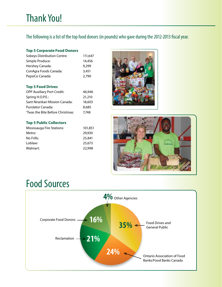The following is a list of the top food donors (in pounds) who gave during the 2012-2013 fiscal year.

### **Top 5 Corporate Food Donors**

| <b>Sobeys Distribution Centre:</b> | 111,647 |
|------------------------------------|---------|
| Simple Produce:                    | 14,456  |
| Hershey Canada:                    | 9.299   |
| ConAgra Foods Canada:              | 3,451   |
| PepsiCo Canada:                    | 2.790   |

#### **Top 5 Food Drives**

| <b>OPP Auxiliary Port Credit:</b> | 46,946 |
|-----------------------------------|--------|
| Spring H.O.P.E.:                  | 21,210 |
| Sant Nirankari Mission Canada:    | 18,603 |
| Purolator Canada:                 | 8,685  |
| 'Twas the Bite Before Christmas:  | 7.748  |

#### **Top 5 Public Collectors**

| Mississauga Fire Stations: | 101,851 |
|----------------------------|---------|
| Metro:                     | 29,930  |
| No Frills:                 | 25,841  |
| Loblaw:                    | 25,673  |
| Walmart:                   | 22,998  |





# Food Sources